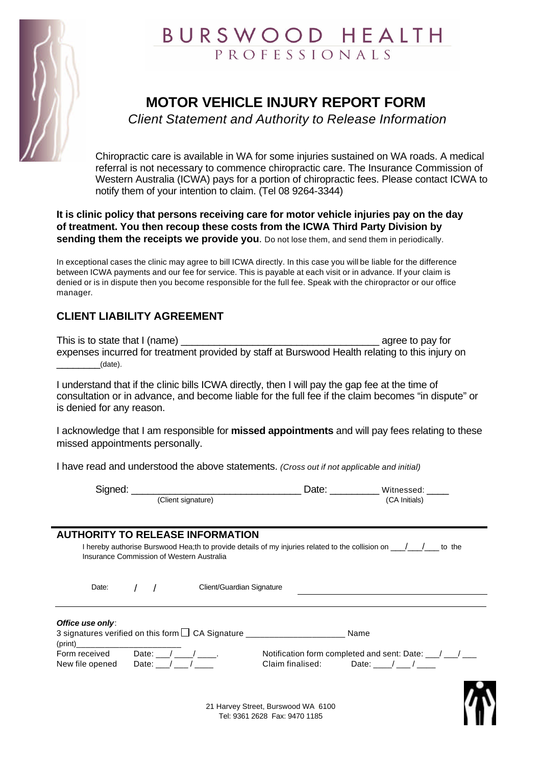

## BURSWOOD HEALTH PROFESSIONALS

## **MOTOR VEHICLE INJURY REPORT FORM**

*Client Statement and Authority to Release Information*

Chiropractic care is available in WA for some injuries sustained on WA roads. A medical referral is not necessary to commence chiropractic care. The Insurance Commission of Western Australia (ICWA) pays for a portion of chiropractic fees. Please contact ICWA to notify them of your intention to claim. (Tel 08 9264-3344)

**It is clinic policy that persons receiving care for motor vehicle injuries pay on the day of treatment. You then recoup these costs from the ICWA Third Party Division by sending them the receipts we provide you**. Do not lose them, and send them in periodically.

In exceptional cases the clinic may agree to bill ICWA directly. In this case you will be liable for the difference between ICWA payments and our fee for service. This is payable at each visit or in advance. If your claim is denied or is in dispute then you become responsible for the full fee. Speak with the chiropractor or our office manager.

### **CLIENT LIABILITY AGREEMENT**

| This is to state that I (name)                                                                  | agree to pay for |
|-------------------------------------------------------------------------------------------------|------------------|
| expenses incurred for treatment provided by staff at Burswood Health relating to this injury on |                  |
| (date).                                                                                         |                  |

I understand that if the clinic bills ICWA directly, then I will pay the gap fee at the time of consultation or in advance, and become liable for the full fee if the claim becomes "in dispute" or is denied for any reason.

I acknowledge that I am responsible for **missed appointments** and will pay fees relating to these missed appointments personally.

I have read and understood the above statements. *(Cross out if not applicable and initial)*

| Signed: |                    | Date: | Witnessed:    |
|---------|--------------------|-------|---------------|
|         | (Client signature) |       | (CA Initials) |

#### **AUTHORITY TO RELEASE INFORMATION**

| I hereby authorise Burswood Hea;th to provide details of my injuries related to the collision on<br>to the |
|------------------------------------------------------------------------------------------------------------|
| Insurance Commission of Western Australia                                                                  |
|                                                                                                            |

| Date:            |  | Client/Guardian Signature                              |      |  |
|------------------|--|--------------------------------------------------------|------|--|
|                  |  |                                                        |      |  |
| Office use only: |  | 3 signatures verified on this form $\Box$ CA Signature | Name |  |

(print)\_\_\_\_\_\_\_\_\_\_\_\_\_\_\_\_\_\_\_\_\_\_ Notification form completed and sent: Date:  $\frac{1}{2}$ Claim finalised:  $Date:$   $\_$  /  $\_$  /  $\_$ 



21 Harvey Street, Burswood WA 6100 Tel: 9361 2628 Fax: 9470 1185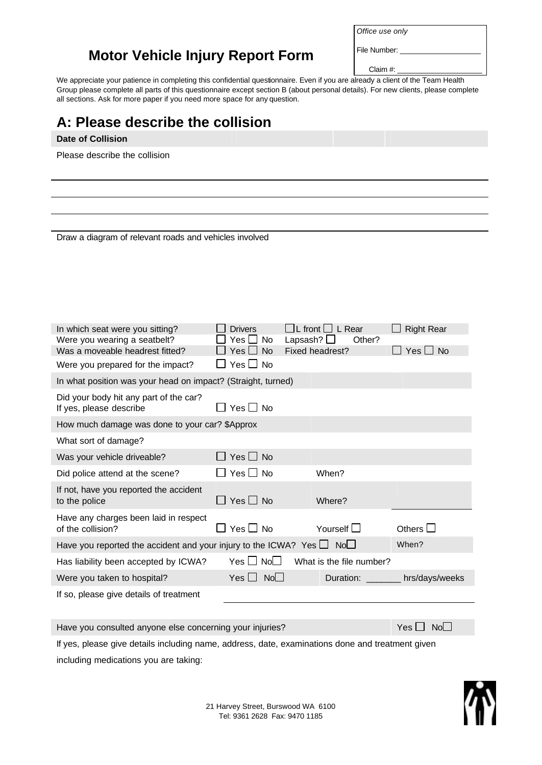### **Motor Vehicle Injury Report Form**

Claim #:

File Number:

We appreciate your patience in completing this confidential questionnaire. Even if you are already a client of the Team Health Group please complete all parts of this questionnaire except section B (about personal details). For new clients, please complete all sections. Ask for more paper if you need more space for any question.

# **A: Please describe the collision Date of Collision** Please describe the collision Draw a diagram of relevant roads and vehicles involved In which seat were you sitting?  $\square$  Drivers  $\square$  L front  $\square$  L Rear  $\square$  Right Rear Were you wearing a seatbelt?  $\square$  Yes  $\square$  No Lapsash?  $\square$  Other?<br>Was a moveable headrest fitted?  $\square$  Yes  $\square$  No Fixed headrest? Was a moveable headrest fitted?  $\Box$  Yes  $\Box$  No Fixed headrest?  $\Box$  Yes  $\Box$  No Were you prepared for the impact?  $\Box$  Yes  $\Box$  No In what position was your head on impact? (Straight, turned) Did your body hit any part of the car? If yes, please describe  $\Box$  Yes  $\Box$  No How much damage was done to your car? \$Approx What sort of damage? Was your vehicle driveable?  $\Box$  Yes  $\Box$  No Did police attend at the scene?  $\Box$  Yes  $\Box$  No When? If not, have you reported the accident to the police  $\Box$  Yes  $\Box$  No Where? Have any charges been laid in respect of the collision?  $\Box$  Yes  $\Box$  No Yourself  $\Box$  Others  $\Box$ Have you reported the accident and your injury to the ICWA? Yes  $\Box$  No When? Has liability been accepted by ICWA? Yes  $\Box$  No What is the file number? Were you taken to hospital?  $Yes \Box \ No \Box$  Duration: \_\_\_\_\_\_ hrs/days/weeks If so, please give details of treatment

Have you consulted anyone else concerning your injuries?  $Yes \Box No \Box$ 

If yes, please give details including name, address, date, examinations done and treatment given including medications you are taking: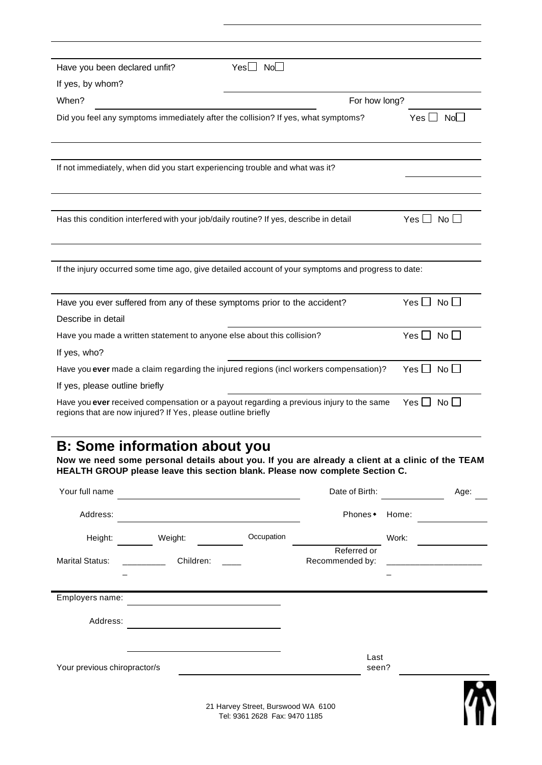| Have you been declared unfit?                                                         | $Yes \Box No \Box$                                                                                 |                      |
|---------------------------------------------------------------------------------------|----------------------------------------------------------------------------------------------------|----------------------|
| If yes, by whom?                                                                      |                                                                                                    |                      |
| When?                                                                                 | For how long?                                                                                      |                      |
| Did you feel any symptoms immediately after the collision? If yes, what symptoms?     |                                                                                                    | $Yes \Box No \Box$   |
|                                                                                       |                                                                                                    |                      |
|                                                                                       |                                                                                                    |                      |
| If not immediately, when did you start experiencing trouble and what was it?          |                                                                                                    |                      |
|                                                                                       |                                                                                                    |                      |
|                                                                                       |                                                                                                    |                      |
| Has this condition interfered with your job/daily routine? If yes, describe in detail |                                                                                                    | $Yes \Box No \Box$   |
|                                                                                       |                                                                                                    |                      |
|                                                                                       |                                                                                                    |                      |
|                                                                                       | If the injury occurred some time ago, give detailed account of your symptoms and progress to date: |                      |
|                                                                                       |                                                                                                    |                      |
| Have you ever suffered from any of these symptoms prior to the accident?              |                                                                                                    | $Yes \Box No \Box$   |
| Describe in detail                                                                    |                                                                                                    |                      |
| Have you made a written statement to anyone else about this collision?                |                                                                                                    | Yes $\Box$ No $\Box$ |
| If yes, who?                                                                          |                                                                                                    |                      |
|                                                                                       | Have you ever made a claim regarding the injured regions (incl workers compensation)?              | Yes $\Box$ No $\Box$ |
| If yes, please outline briefly                                                        |                                                                                                    |                      |
| regions that are now injured? If Yes, please outline briefly                          | Have you ever received compensation or a payout regarding a previous injury to the same            | $Yes \Box No \Box$   |
|                                                                                       |                                                                                                    |                      |
| <b>B: Some information about you</b>                                                  |                                                                                                    |                      |
|                                                                                       | Now we need some personal details about you. If you are already a client at a clinic of the TEAM   |                      |
|                                                                                       | HEALTH GROUP please leave this section blank. Please now complete Section C.                       |                      |
|                                                                                       |                                                                                                    |                      |

| Your full name               |           |                                                                     | Date of Birth:                 |       | Age: |
|------------------------------|-----------|---------------------------------------------------------------------|--------------------------------|-------|------|
| Address:                     |           |                                                                     | Phones •                       | Home: |      |
| Height:                      | Weight:   | Occupation                                                          |                                | Work: |      |
| <b>Marital Status:</b>       | Children: |                                                                     | Referred or<br>Recommended by: |       |      |
| Employers name:              |           |                                                                     |                                |       |      |
| Address:                     |           |                                                                     |                                |       |      |
| Your previous chiropractor/s |           |                                                                     | Last<br>seen?                  |       |      |
|                              |           | 21 Harvey Street, Burswood WA 6100<br>Tel: 9361 2628 Fax: 9470 1185 |                                |       |      |